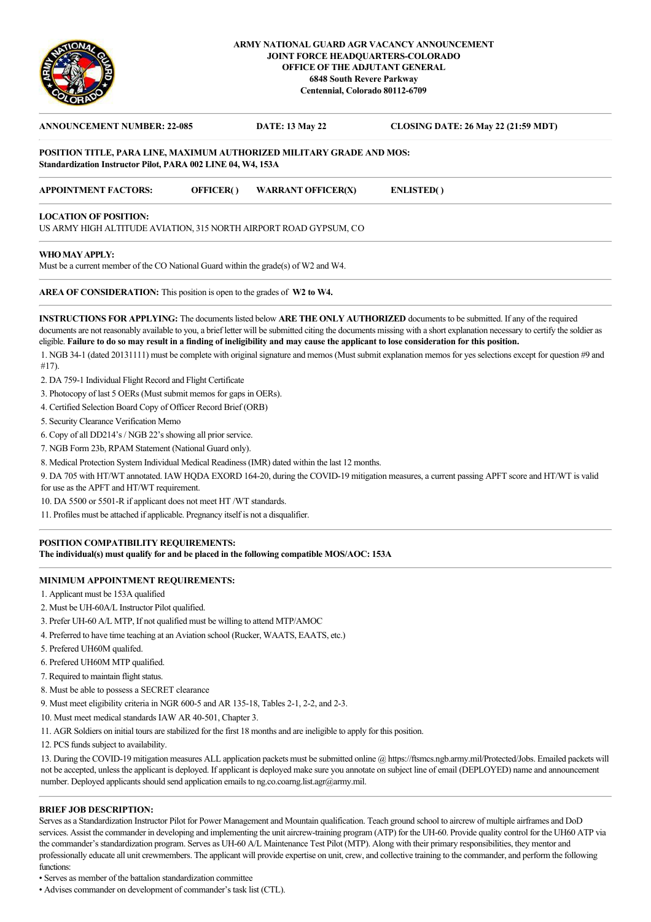

### **ARMY NATIONAL GUARD AGR VACANCY ANNOUNCEMENT JOINT FORCE HEADQUARTERS-COLORADO OFFICE OF THE ADJUTANT GENERAL 6848 South Revere Parkway Centennial, Colorado 80112-6709**

| <b>ANNOUNCEMENT NUMBER: 22-085</b>                                                                                                    |                  | <b>DATE: 13 May 22</b>    | <b>CLOSING DATE: 26 May 22 (21:59 MDT)</b> |
|---------------------------------------------------------------------------------------------------------------------------------------|------------------|---------------------------|--------------------------------------------|
| POSITION TITLE, PARA LINE, MAXIMUM AUTHORIZED MILITARY GRADE AND MOS:<br>Standardization Instructor Pilot, PARA 002 LINE 04, W4, 153A |                  |                           |                                            |
| <b>APPOINTMENT FACTORS:</b>                                                                                                           | <b>OFFICER()</b> | <b>WARRANT OFFICER(X)</b> | <b>ENLISTED()</b>                          |
| <b>LOCATION OF POSITION:</b>                                                                                                          |                  |                           |                                            |
| US ARMY HIGH ALTITUDE AVIATION, 315 NORTH AIRPORT ROAD GYPSUM, CO                                                                     |                  |                           |                                            |
| WHO MAY APPLY:                                                                                                                        |                  |                           |                                            |
| Must be a current member of the CO National Guard within the grade(s) of W2 and W4.                                                   |                  |                           |                                            |

**AREA OF CONSIDERATION:** This position is open to the grades of **W2 to W4.**

**INSTRUCTIONS FOR APPLYING:** The documents listed below **ARE THE ONLY AUTHORIZED** documents to be submitted. If any of the required documents are not reasonably available to you, a brief letter will be submitted citing the documents missing with a short explanation necessary to certify the soldier as eligible. **Failure to do so may result in a finding of ineligibility and may cause the applicant to lose consideration for this position.**

1. NGB 34-1 (dated 20131111) must be complete with original signature and memos (Must submit explanation memos for yes selections except for question #9 and #17).

- 2. DA 759-1 Individual Flight Record and Flight Certificate
- 3. Photocopy of last 5 OERs (Must submit memos for gaps in OERs).
- 4. Certified Selection Board Copy of Officer Record Brief (ORB)
- 5. Security Clearance Verification Memo
- 6. Copy of all DD214's / NGB 22's showing all prior service.
- 7. NGB Form 23b, RPAM Statement (National Guard only).
- 8. Medical Protection System Individual Medical Readiness (IMR) dated within the last 12 months.

9. DA 705 with HT/WT annotated. IAW HQDA EXORD 164-20, during the COVID-19 mitigation measures, a current passing APFT score and HT/WT is valid for use as the APFT and HT/WT requirement.

10. DA 5500 or 5501-R if applicant does not meet HT /WT standards.

11. Profiles must be attached if applicable. Pregnancy itself is not a disqualifier.

# **POSITION COMPATIBILITY REQUIREMENTS:**

**The individual(s) must qualify for and be placed in the following compatible MOS/AOC: 153A**

# **MINIMUM APPOINTMENT REQUIREMENTS:**

- 1. Applicant must be 153A qualified
- 2. Must be UH-60A/L Instructor Pilot qualified.
- 3. Prefer UH-60 A/L MTP, If not qualified must be willing to attend MTP/AMOC
- 4. Preferred to have time teaching at an Aviation school (Rucker, WAATS, EAATS, etc.)
- 5. Prefered UH60M qualifed.
- 6. Prefered UH60M MTP qualified.
- 7. Required to maintain flight status.
- 8. Must be able to possess a SECRET clearance
- 9. Must meet eligibility criteria in NGR 600-5 and AR 135-18, Tables 2-1, 2-2, and 2-3.
- 10. Must meet medical standards IAW AR 40-501, Chapter 3.
- 11. AGR Soldiers on initial tours are stabilized for the first 18 months and are ineligible to apply for this position.
- 12. PCS funds subject to availability.

13. During the COVID-19 mitigation measures ALL application packets must be submitted online @ https://ftsmcs.ngb.army.mil/Protected/Jobs. Emailed packets will not be accepted, unless the applicant is deployed. If applicant is deployed make sure you annotate on subject line of email (DEPLOYED) name and announcement number. Deployed applicants should send application emails to ng.co.coarng.list.agr@army.mil.

#### **BRIEF JOB DESCRIPTION:**

Serves as a Standardization Instructor Pilot for Power Management and Mountain qualification. Teach ground school to aircrew of multiple airframes and DoD services. Assist the commander in developing and implementing the unit aircrew-training program (ATP) for the UH-60. Provide quality control for the UH60 ATP via the commander's standardization program. Serves as UH-60 A/L Maintenance Test Pilot (MTP). Along with their primary responsibilities, they mentor and professionally educate all unit crewmembers. The applicant will provide expertise on unit, crew, and collective training to the commander, and perform the following functions

• Serves as member of the battalion standardization committee

• Advises commander on development of commander's task list (CTL).